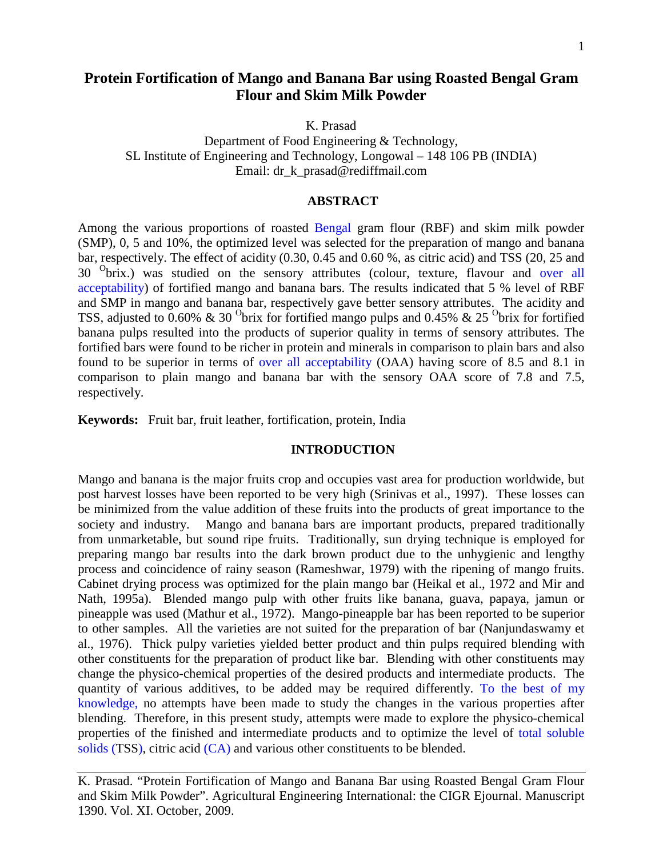# **Protein Fortification of Mango and Banana Bar using Roasted Bengal Gram Flour and Skim Milk Powder**

K. Prasad

Department of Food Engineering & Technology, SL Institute of Engineering and Technology, Longowal – 148 106 PB (INDIA) Email: dr\_k\_prasad@rediffmail.com

#### **ABSTRACT**

Among the various proportions of roasted Bengal gram flour (RBF) and skim milk powder (SMP), 0, 5 and 10%, the optimized level was selected for the preparation of mango and banana bar, respectively. The effect of acidity (0.30, 0.45 and 0.60 %, as citric acid) and TSS (20, 25 and 30 <sup>O</sup>brix.) was studied on the sensory attributes (colour, texture, flavour and over all acceptability) of fortified mango and banana bars. The results indicated that 5 % level of RBF and SMP in mango and banana bar, respectively gave better sensory attributes. The acidity and TSS, adjusted to 0.60% & 30 <sup>O</sup>brix for fortified mango pulps and 0.45% & 25 <sup>O</sup>brix for fortified banana pulps resulted into the products of superior quality in terms of sensory attributes. The fortified bars were found to be richer in protein and minerals in comparison to plain bars and also found to be superior in terms of over all acceptability (OAA) having score of 8.5 and 8.1 in comparison to plain mango and banana bar with the sensory OAA score of 7.8 and 7.5, respectively.

**Keywords:** Fruit bar, fruit leather, fortification, protein, India

### **INTRODUCTION**

Mango and banana is the major fruits crop and occupies vast area for production worldwide, but post harvest losses have been reported to be very high (Srinivas et al., 1997). These losses can be minimized from the value addition of these fruits into the products of great importance to the society and industry. Mango and banana bars are important products, prepared traditionally from unmarketable, but sound ripe fruits. Traditionally, sun drying technique is employed for preparing mango bar results into the dark brown product due to the unhygienic and lengthy process and coincidence of rainy season (Rameshwar, 1979) with the ripening of mango fruits. Cabinet drying process was optimized for the plain mango bar (Heikal et al., 1972 and Mir and Nath, 1995a). Blended mango pulp with other fruits like banana, guava, papaya, jamun or pineapple was used (Mathur et al., 1972). Mango-pineapple bar has been reported to be superior to other samples. All the varieties are not suited for the preparation of bar (Nanjundaswamy et al., 1976). Thick pulpy varieties yielded better product and thin pulps required blending with other constituents for the preparation of product like bar. Blending with other constituents may change the physico-chemical properties of the desired products and intermediate products. The quantity of various additives, to be added may be required differently. To the best of my knowledge, no attempts have been made to study the changes in the various properties after blending. Therefore, in this present study, attempts were made to explore the physico-chemical properties of the finished and intermediate products and to optimize the level of total soluble solids (TSS), citric acid (CA) and various other constituents to be blended.

K. Prasad. "Protein Fortification of Mango and Banana Bar using Roasted Bengal Gram Flour and Skim Milk Powder". Agricultural Engineering International: the CIGR Ejournal. Manuscript 1390. Vol. XI. October, 2009.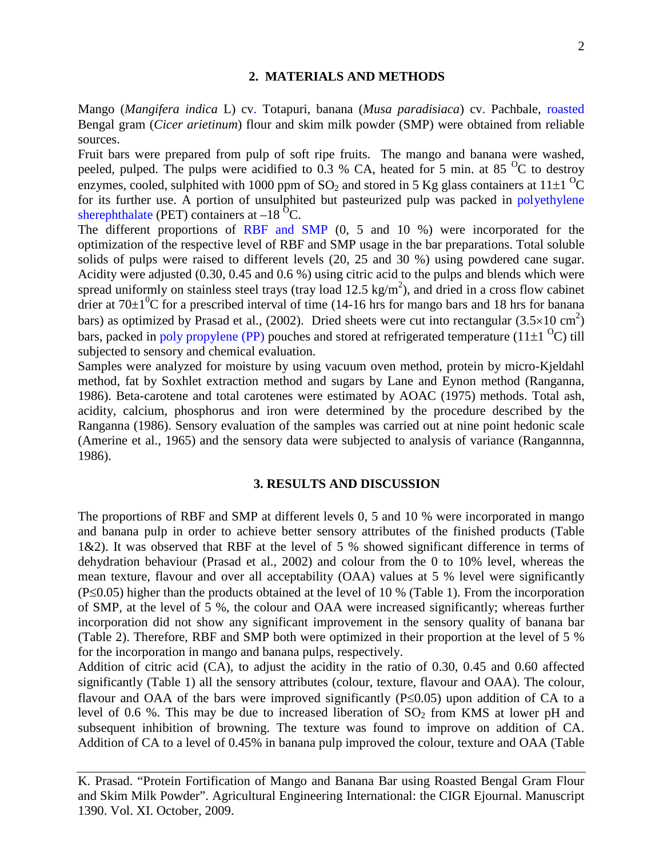## **2. MATERIALS AND METHODS**

Mango (*Mangifera indica* L) cv. Totapuri, banana (*Musa paradisiaca*) cv. Pachbale, roasted Bengal gram (*Cicer arietinum*) flour and skim milk powder (SMP) were obtained from reliable sources.

Fruit bars were prepared from pulp of soft ripe fruits. The mango and banana were washed, peeled, pulped. The pulps were acidified to  $0.3$  % CA, heated for 5 min. at 85 <sup>o</sup>C to destroy enzymes, cooled, sulphited with 1000 ppm of SO<sub>2</sub> and stored in 5 Kg glass containers at 11 $\pm$ 1<sup>0</sup>C for its further use. A portion of unsulphited but pasteurized pulp was packed in polyethylene sherephthalate (PET) containers at  $-18$ <sup>O</sup>C.

The different proportions of RBF and SMP (0, 5 and 10 %) were incorporated for the optimization of the respective level of RBF and SMP usage in the bar preparations. Total soluble solids of pulps were raised to different levels (20, 25 and 30 %) using powdered cane sugar. Acidity were adjusted (0.30, 0.45 and 0.6 %) using citric acid to the pulps and blends which were spread uniformly on stainless steel trays (tray load  $12.5 \text{ kg/m}^2$ ), and dried in a cross flow cabinet drier at  $70\pm1\textsuperscript{0}$ C for a prescribed interval of time (14-16 hrs for mango bars and 18 hrs for banana bars) as optimized by Prasad et al.,  $(2002)$ . Dried sheets were cut into rectangular  $(3.5 \times 10 \text{ cm}^2)$ bars, packed in poly propylene (PP) pouches and stored at refrigerated temperature (11 $\pm$ 1<sup>o</sup>C) till subjected to sensory and chemical evaluation.

Samples were analyzed for moisture by using vacuum oven method, protein by micro-Kjeldahl method, fat by Soxhlet extraction method and sugars by Lane and Eynon method (Ranganna, 1986). Beta-carotene and total carotenes were estimated by AOAC (1975) methods. Total ash, acidity, calcium, phosphorus and iron were determined by the procedure described by the Ranganna (1986). Sensory evaluation of the samples was carried out at nine point hedonic scale (Amerine et al., 1965) and the sensory data were subjected to analysis of variance (Rangannna, 1986).

#### **3. RESULTS AND DISCUSSION**

The proportions of RBF and SMP at different levels 0, 5 and 10 % were incorporated in mango and banana pulp in order to achieve better sensory attributes of the finished products (Table 1&2). It was observed that RBF at the level of 5 % showed significant difference in terms of dehydration behaviour (Prasad et al., 2002) and colour from the 0 to 10% level, whereas the mean texture, flavour and over all acceptability (OAA) values at 5 % level were significantly (P≤0.05) higher than the products obtained at the level of 10 % (Table 1). From the incorporation of SMP, at the level of 5 %, the colour and OAA were increased significantly; whereas further incorporation did not show any significant improvement in the sensory quality of banana bar (Table 2). Therefore, RBF and SMP both were optimized in their proportion at the level of 5 % for the incorporation in mango and banana pulps, respectively.

Addition of citric acid (CA), to adjust the acidity in the ratio of 0.30, 0.45 and 0.60 affected significantly (Table 1) all the sensory attributes (colour, texture, flavour and OAA). The colour, flavour and OAA of the bars were improved significantly (P≤0.05) upon addition of CA to a level of 0.6 %. This may be due to increased liberation of  $SO<sub>2</sub>$  from KMS at lower pH and subsequent inhibition of browning. The texture was found to improve on addition of CA. Addition of CA to a level of 0.45% in banana pulp improved the colour, texture and OAA (Table

K. Prasad. "Protein Fortification of Mango and Banana Bar using Roasted Bengal Gram Flour and Skim Milk Powder". Agricultural Engineering International: the CIGR Ejournal. Manuscript 1390. Vol. XI. October, 2009.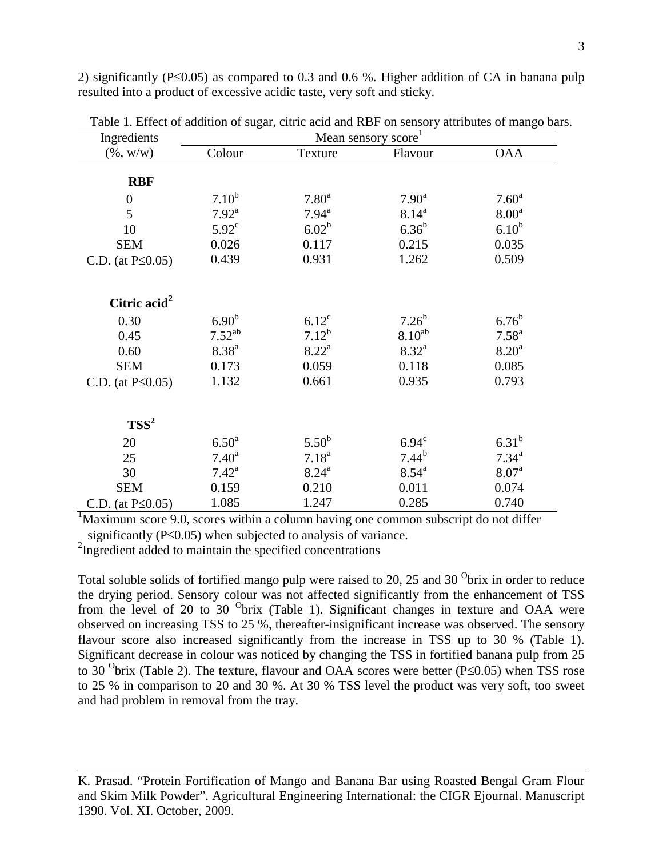2) significantly (P≤0.05) as compared to 0.3 and 0.6 %. Higher addition of CA in banana pulp resulted into a product of excessive acidic taste, very soft and sticky.

| Ingredients             | Mean sensory score <sup>1</sup> |                   |                   |                   |  |  |  |  |
|-------------------------|---------------------------------|-------------------|-------------------|-------------------|--|--|--|--|
| $(\% , w/w)$            | Colour                          | Texture           | Flavour           | <b>OAA</b>        |  |  |  |  |
|                         |                                 |                   |                   |                   |  |  |  |  |
| <b>RBF</b>              |                                 |                   |                   |                   |  |  |  |  |
| $\boldsymbol{0}$        | $7.10^{b}$                      | 7.80 <sup>a</sup> | 7.90 <sup>a</sup> | $7.60^{\rm a}$    |  |  |  |  |
| 5                       | $7.92^{\text{a}}$               | $7.94^{\text{a}}$ | $8.14^{\rm a}$    | 8.00 <sup>a</sup> |  |  |  |  |
| 10                      | $5.92^{\circ}$                  | $6.02^b$          | $6.36^{b}$        | $6.10^{b}$        |  |  |  |  |
| <b>SEM</b>              | 0.026                           | 0.117             | 0.215             | 0.035             |  |  |  |  |
| C.D. (at $P \le 0.05$ ) | 0.439                           | 0.931             | 1.262             | 0.509             |  |  |  |  |
| Citric $\text{acid}^2$  |                                 |                   |                   |                   |  |  |  |  |
|                         |                                 |                   |                   |                   |  |  |  |  |
| 0.30                    | 6.90 <sup>b</sup>               | $6.12^{\circ}$    | $7.26^b$          | $6.76^{b}$        |  |  |  |  |
| 0.45                    | $7.52^{ab}$                     | $7.12^b$          | $8.10^{ab}$       | $7.58^{a}$        |  |  |  |  |
| 0.60                    | $8.38^{a}$                      | $8.22^{\rm a}$    | $8.32^{\rm a}$    | 8.20 <sup>a</sup> |  |  |  |  |
| <b>SEM</b>              | 0.173                           | 0.059             | 0.118             | 0.085             |  |  |  |  |
| C.D. (at $P \le 0.05$ ) | 1.132                           | 0.661             | 0.935             | 0.793             |  |  |  |  |
| $TSS^2$                 |                                 |                   |                   |                   |  |  |  |  |
|                         |                                 |                   |                   |                   |  |  |  |  |
| 20                      | 6.50 <sup>a</sup>               | $5.50^{b}$        | 6.94 <sup>c</sup> | $6.31^{b}$        |  |  |  |  |
| 25                      | $7.40^{\rm a}$                  | $7.18^{a}$        | $7.44^{b}$        | $7.34^{a}$        |  |  |  |  |
| 30                      | $7.42^{\text{a}}$               | $8.24^{\rm a}$    | $8.54^{\rm a}$    | 8.07 <sup>a</sup> |  |  |  |  |
| <b>SEM</b>              | 0.159                           | 0.210             | 0.011             | 0.074             |  |  |  |  |
| C.D. (at $P \le 0.05$ ) | 1.085                           | 1.247             | 0.285             | 0.740             |  |  |  |  |

Table 1. Effect of addition of sugar, citric acid and RBF on sensory attributes of mango bars.

<sup>1</sup>Maximum score 9.0, scores within a column having one common subscript do not differ

significantly (P≤0.05) when subjected to analysis of variance.

<sup>2</sup>Ingredient added to maintain the specified concentrations

Total soluble solids of fortified mango pulp were raised to 20, 25 and 30  $\textdegree$  brix in order to reduce the drying period. Sensory colour was not affected significantly from the enhancement of TSS from the level of 20 to 30  $\text{0}^{\text{0}}$  brix (Table 1). Significant changes in texture and OAA were observed on increasing TSS to 25 %, thereafter-insignificant increase was observed. The sensory flavour score also increased significantly from the increase in TSS up to 30 % (Table 1). Significant decrease in colour was noticed by changing the TSS in fortified banana pulp from 25 to 30 <sup>O</sup>brix (Table 2). The texture, flavour and OAA scores were better (P≤0.05) when TSS rose to 25 % in comparison to 20 and 30 %. At 30 % TSS level the product was very soft, too sweet and had problem in removal from the tray.

K. Prasad. "Protein Fortification of Mango and Banana Bar using Roasted Bengal Gram Flour and Skim Milk Powder". Agricultural Engineering International: the CIGR Ejournal. Manuscript 1390. Vol. XI. October, 2009.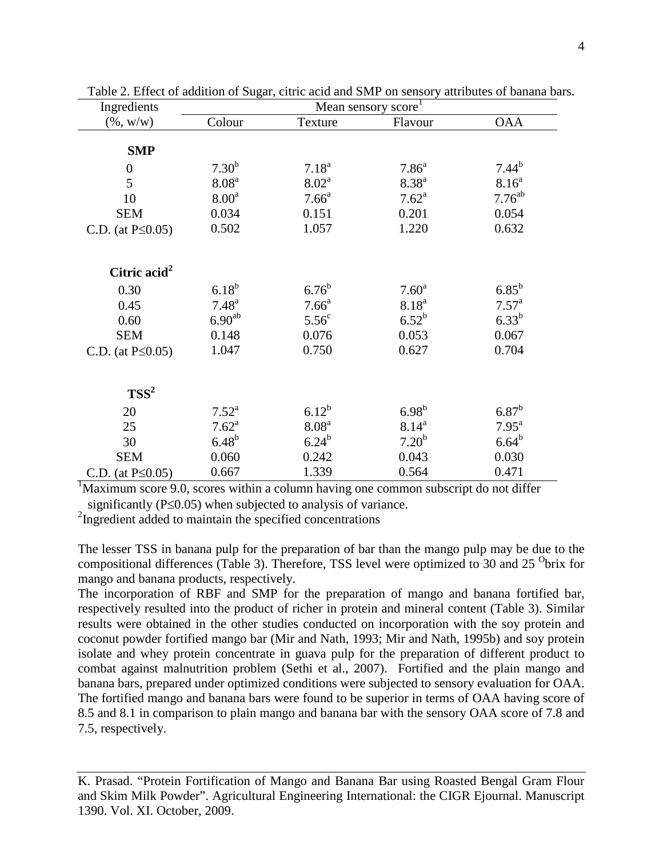| Ingredients              | Mean sensory score <sup>1</sup> |                   |                   |                    |  |  |  |  |
|--------------------------|---------------------------------|-------------------|-------------------|--------------------|--|--|--|--|
| $(\%, w/w)$              | Colour                          | Texture           | Flavour           | <b>OAA</b>         |  |  |  |  |
|                          |                                 |                   |                   |                    |  |  |  |  |
| <b>SMP</b>               |                                 |                   |                   |                    |  |  |  |  |
| $\boldsymbol{0}$         | $7.30^{b}$                      | $7.18^{a}$        | 7.86 <sup>a</sup> | $7.44^{b}$         |  |  |  |  |
| 5                        | 8.08 <sup>a</sup>               | 8.02 <sup>a</sup> | $8.38^{a}$        | $8.16^{a}$         |  |  |  |  |
| 10                       | 8.00 <sup>a</sup>               | 7.66 <sup>a</sup> | $7.62^{\text{a}}$ | 7.76 <sup>ab</sup> |  |  |  |  |
| <b>SEM</b>               | 0.034                           | 0.151             | 0.201             | 0.054              |  |  |  |  |
| C.D. (at $P \le 0.05$ )  | 0.502                           | 1.057             | 1.220             | 0.632              |  |  |  |  |
|                          |                                 |                   |                   |                    |  |  |  |  |
|                          |                                 |                   |                   |                    |  |  |  |  |
| Citric acid <sup>2</sup> |                                 |                   |                   |                    |  |  |  |  |
| 0.30                     | $6.18^{b}$                      | $6.76^{b}$        | 7.60 <sup>a</sup> | $6.85^{b}$         |  |  |  |  |
| 0.45                     | $7.48^{a}$                      | 7.66 <sup>a</sup> | 8.18 <sup>a</sup> | $7.57^{\rm a}$     |  |  |  |  |
| 0.60                     | $6.90^{ab}$                     | 5.56 <sup>c</sup> | $6.52^{b}$        | $6.33^{b}$         |  |  |  |  |
| <b>SEM</b>               | 0.148                           | 0.076             | 0.053             | 0.067              |  |  |  |  |
| C.D. (at $P \le 0.05$ )  | 1.047                           | 0.750             | 0.627             | 0.704              |  |  |  |  |
|                          |                                 |                   |                   |                    |  |  |  |  |
|                          |                                 |                   |                   |                    |  |  |  |  |
| $TSS^2$                  |                                 |                   |                   |                    |  |  |  |  |
| 20                       | $7.52^{\rm a}$                  | $6.12^{b}$        | $6.98^{b}$        | $6.87^{\rm b}$     |  |  |  |  |
| 25                       | $7.62^{\rm a}$                  | 8.08 <sup>a</sup> | $8.14^{a}$        | 7.95 <sup>a</sup>  |  |  |  |  |
| 30                       | $6.48^{b}$                      | $6.24^{b}$        | 7.20 <sup>b</sup> | $6.64^{b}$         |  |  |  |  |
| <b>SEM</b>               | 0.060                           | 0.242             | 0.043             | 0.030              |  |  |  |  |
| C.D. (at $P \le 0.05$ )  | 0.667                           | 1.339             | 0.564             | 0.471              |  |  |  |  |

Table 2. Effect of addition of Sugar, citric acid and SMP on sensory attributes of banana bars.

<sup>1</sup>Maximum score 9.0, scores within a column having one common subscript do not differ significantly ( $P \le 0.05$ ) when subjected to analysis of variance.

<sup>2</sup>Ingredient added to maintain the specified concentrations

The lesser TSS in banana pulp for the preparation of bar than the mango pulp may be due to the compositional differences (Table 3). Therefore, TSS level were optimized to 30 and 25  $\text{O}$ brix for mango and banana products, respectively.

The incorporation of RBF and SMP for the preparation of mango and banana fortified bar, respectively resulted into the product of richer in protein and mineral content (Table 3). Similar results were obtained in the other studies conducted on incorporation with the soy protein and coconut powder fortified mango bar (Mir and Nath, 1993; Mir and Nath, 1995b) and soy protein isolate and whey protein concentrate in guava pulp for the preparation of different product to combat against malnutrition problem (Sethi et al., 2007). Fortified and the plain mango and banana bars, prepared under optimized conditions were subjected to sensory evaluation for OAA. The fortified mango and banana bars were found to be superior in terms of OAA having score of 8.5 and 8.1 in comparison to plain mango and banana bar with the sensory OAA score of 7.8 and 7.5, respectively.

K. Prasad. "Protein Fortification of Mango and Banana Bar using Roasted Bengal Gram Flour and Skim Milk Powder". Agricultural Engineering International: the CIGR Ejournal. Manuscript 1390. Vol. XI. October, 2009.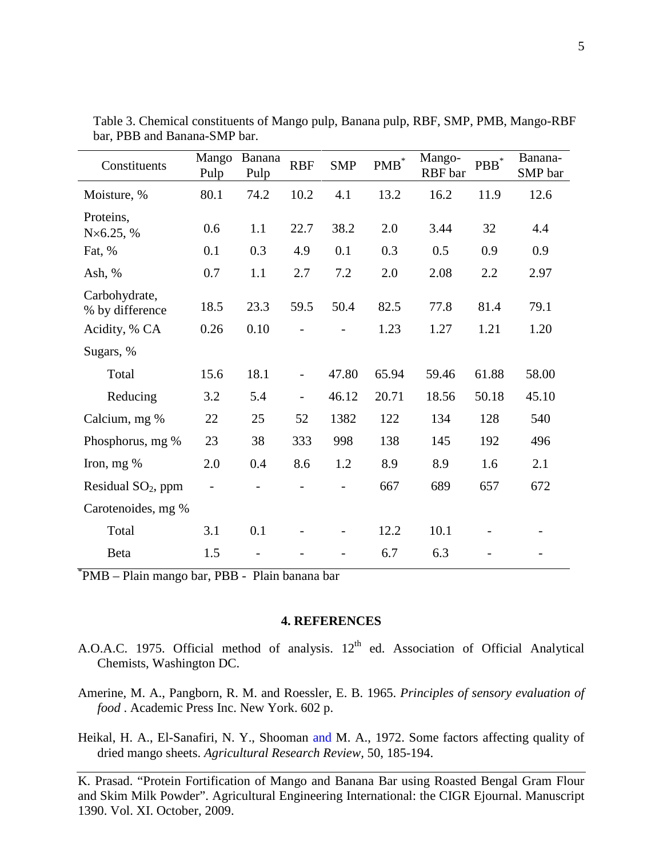| Constituents                     | Mango<br>Pulp | Banana<br>Pulp | <b>RBF</b> | <b>SMP</b> | $\mathbf{PMB}^*$ | Mango-<br>RBF bar | ${\bf PBB}^*$ | Banana-<br>SMP bar |
|----------------------------------|---------------|----------------|------------|------------|------------------|-------------------|---------------|--------------------|
| Moisture, %                      | 80.1          | 74.2           | 10.2       | 4.1        | 13.2             | 16.2              | 11.9          | 12.6               |
| Proteins,<br>$N\times 6.25, %$   | 0.6           | 1.1            | 22.7       | 38.2       | 2.0              | 3.44              | 32            | 4.4                |
| Fat, %                           | 0.1           | 0.3            | 4.9        | 0.1        | 0.3              | 0.5               | 0.9           | 0.9                |
| Ash, %                           | 0.7           | 1.1            | 2.7        | 7.2        | 2.0              | 2.08              | 2.2           | 2.97               |
| Carbohydrate,<br>% by difference | 18.5          | 23.3           | 59.5       | 50.4       | 82.5             | 77.8              | 81.4          | 79.1               |
| Acidity, % CA                    | 0.26          | 0.10           |            |            | 1.23             | 1.27              | 1.21          | 1.20               |
| Sugars, %                        |               |                |            |            |                  |                   |               |                    |
| Total                            | 15.6          | 18.1           |            | 47.80      | 65.94            | 59.46             | 61.88         | 58.00              |
| Reducing                         | 3.2           | 5.4            |            | 46.12      | 20.71            | 18.56             | 50.18         | 45.10              |
| Calcium, mg %                    | 22            | 25             | 52         | 1382       | 122              | 134               | 128           | 540                |
| Phosphorus, mg %                 | 23            | 38             | 333        | 998        | 138              | 145               | 192           | 496                |
| Iron, mg %                       | 2.0           | 0.4            | 8.6        | 1.2        | 8.9              | 8.9               | 1.6           | 2.1                |
| Residual $SO2$ , ppm             |               |                |            |            | 667              | 689               | 657           | 672                |
| Carotenoides, mg %               |               |                |            |            |                  |                   |               |                    |
| Total                            | 3.1           | 0.1            |            |            | 12.2             | 10.1              |               |                    |
| Beta                             | 1.5           |                |            |            | 6.7              | 6.3               |               |                    |

Table 3. Chemical constituents of Mango pulp, Banana pulp, RBF, SMP, PMB, Mango-RBF bar, PBB and Banana-SMP bar.

\* PMB – Plain mango bar, PBB - Plain banana bar

## **4. REFERENCES**

- A.O.A.C. 1975. Official method of analysis.  $12<sup>th</sup>$  ed. Association of Official Analytical Chemists, Washington DC.
- Amerine, M. A., Pangborn, R. M. and Roessler, E. B. 1965. *Principles of sensory evaluation of food* . Academic Press Inc. New York. 602 p.
- Heikal, H. A., El-Sanafiri, N. Y., Shooman and M. A., 1972. Some factors affecting quality of dried mango sheets. *Agricultural Research Review,* 50, 185-194.

K. Prasad. "Protein Fortification of Mango and Banana Bar using Roasted Bengal Gram Flour and Skim Milk Powder". Agricultural Engineering International: the CIGR Ejournal. Manuscript 1390. Vol. XI. October, 2009.